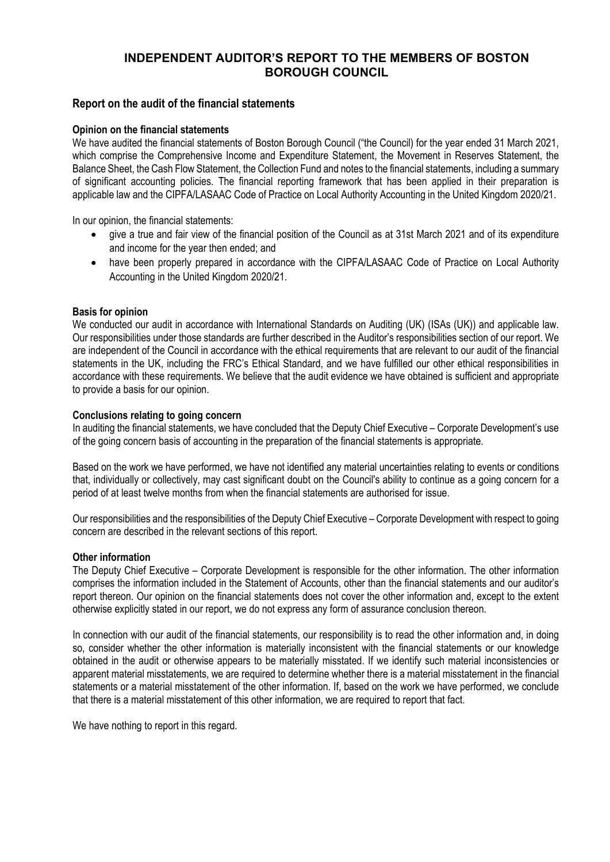# **INDEPENDENT AUDITOR'S REPORT TO THE MEMBERS OF BOSTON BOROUGH COUNCIL**

# **Report on the audit of the financial statements**

### **Opinion on the financial statements**

We have audited the financial statements of Boston Borough Council ("the Council) for the year ended 31 March 2021, which comprise the Comprehensive Income and Expenditure Statement, the Movement in Reserves Statement, the Balance Sheet, the Cash Flow Statement, the Collection Fund and notes to the financial statements, including a summary of significant accounting policies. The financial reporting framework that has been applied in their preparation is applicable law and the CIPFA/LASAAC Code of Practice on Local Authority Accounting in the United Kingdom 2020/21.

In our opinion, the financial statements:

- give a true and fair view of the financial position of the Council as at 31st March 2021 and of its expenditure and income for the year then ended; and
- have been properly prepared in accordance with the CIPFA/LASAAC Code of Practice on Local Authority Accounting in the United Kingdom 2020/21.

### **Basis for opinion**

We conducted our audit in accordance with International Standards on Auditing (UK) (ISAs (UK)) and applicable law. Our responsibilities under those standards are further described in the Auditor's responsibilities section of our report. We are independent of the Council in accordance with the ethical requirements that are relevant to our audit of the financial statements in the UK, including the FRC's Ethical Standard, and we have fulfilled our other ethical responsibilities in accordance with these requirements. We believe that the audit evidence we have obtained is sufficient and appropriate to provide a basis for our opinion.

### **Conclusions relating to going concern**

In auditing the financial statements, we have concluded that the Deputy Chief Executive – Corporate Development's use of the going concern basis of accounting in the preparation of the financial statements is appropriate.

Based on the work we have performed, we have not identified any material uncertainties relating to events or conditions that, individually or collectively, may cast significant doubt on the Council's ability to continue as a going concern for a period of at least twelve months from when the financial statements are authorised for issue.

Our responsibilities and the responsibilities of the Deputy Chief Executive – Corporate Development with respect to going concern are described in the relevant sections of this report.

#### **Other information**

The Deputy Chief Executive – Corporate Development is responsible for the other information. The other information comprises the information included in the Statement of Accounts, other than the financial statements and our auditor's report thereon. Our opinion on the financial statements does not cover the other information and, except to the extent otherwise explicitly stated in our report, we do not express any form of assurance conclusion thereon.

In connection with our audit of the financial statements, our responsibility is to read the other information and, in doing so, consider whether the other information is materially inconsistent with the financial statements or our knowledge obtained in the audit or otherwise appears to be materially misstated. If we identify such material inconsistencies or apparent material misstatements, we are required to determine whether there is a material misstatement in the financial statements or a material misstatement of the other information. If, based on the work we have performed, we conclude that there is a material misstatement of this other information, we are required to report that fact.

We have nothing to report in this regard.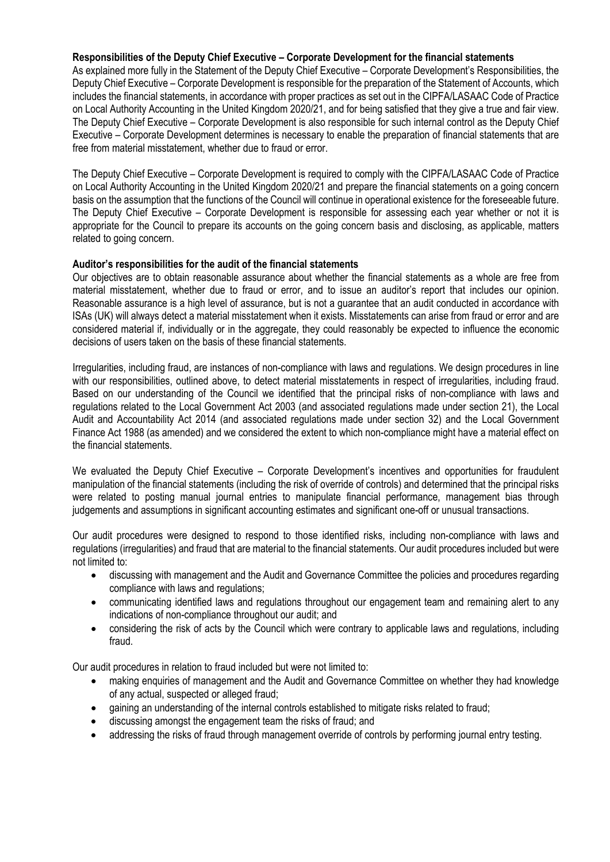### **Responsibilities of the Deputy Chief Executive – Corporate Development for the financial statements**

As explained more fully in the Statement of the Deputy Chief Executive – Corporate Development's Responsibilities, the Deputy Chief Executive – Corporate Development is responsible for the preparation of the Statement of Accounts, which includes the financial statements, in accordance with proper practices as set out in the CIPFA/LASAAC Code of Practice on Local Authority Accounting in the United Kingdom 2020/21, and for being satisfied that they give a true and fair view. The Deputy Chief Executive – Corporate Development is also responsible for such internal control as the Deputy Chief Executive – Corporate Development determines is necessary to enable the preparation of financial statements that are free from material misstatement, whether due to fraud or error.

The Deputy Chief Executive – Corporate Development is required to comply with the CIPFA/LASAAC Code of Practice on Local Authority Accounting in the United Kingdom 2020/21 and prepare the financial statements on a going concern basis on the assumption that the functions of the Council will continue in operational existence for the foreseeable future. The Deputy Chief Executive – Corporate Development is responsible for assessing each year whether or not it is appropriate for the Council to prepare its accounts on the going concern basis and disclosing, as applicable, matters related to going concern.

### **Auditor's responsibilities for the audit of the financial statements**

Our objectives are to obtain reasonable assurance about whether the financial statements as a whole are free from material misstatement, whether due to fraud or error, and to issue an auditor's report that includes our opinion. Reasonable assurance is a high level of assurance, but is not a guarantee that an audit conducted in accordance with ISAs (UK) will always detect a material misstatement when it exists. Misstatements can arise from fraud or error and are considered material if, individually or in the aggregate, they could reasonably be expected to influence the economic decisions of users taken on the basis of these financial statements.

Irregularities, including fraud, are instances of non-compliance with laws and regulations. We design procedures in line with our responsibilities, outlined above, to detect material misstatements in respect of irregularities, including fraud. Based on our understanding of the Council we identified that the principal risks of non-compliance with laws and regulations related to the Local Government Act 2003 (and associated regulations made under section 21), the Local Audit and Accountability Act 2014 (and associated regulations made under section 32) and the Local Government Finance Act 1988 (as amended) and we considered the extent to which non-compliance might have a material effect on the financial statements.

We evaluated the Deputy Chief Executive – Corporate Development's incentives and opportunities for fraudulent manipulation of the financial statements (including the risk of override of controls) and determined that the principal risks were related to posting manual journal entries to manipulate financial performance, management bias through judgements and assumptions in significant accounting estimates and significant one-off or unusual transactions.

Our audit procedures were designed to respond to those identified risks, including non-compliance with laws and regulations (irregularities) and fraud that are material to the financial statements. Our audit procedures included but were not limited to:

- discussing with management and the Audit and Governance Committee the policies and procedures regarding compliance with laws and regulations;
- communicating identified laws and regulations throughout our engagement team and remaining alert to any indications of non-compliance throughout our audit; and
- considering the risk of acts by the Council which were contrary to applicable laws and regulations, including fraud.

Our audit procedures in relation to fraud included but were not limited to:

- making enquiries of management and the Audit and Governance Committee on whether they had knowledge of any actual, suspected or alleged fraud;
- gaining an understanding of the internal controls established to mitigate risks related to fraud;
- discussing amongst the engagement team the risks of fraud; and
- addressing the risks of fraud through management override of controls by performing journal entry testing.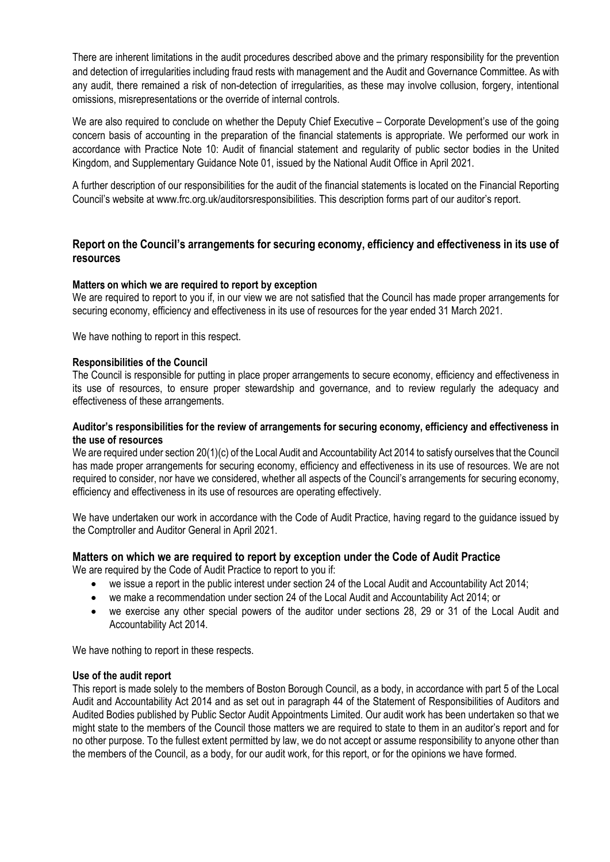There are inherent limitations in the audit procedures described above and the primary responsibility for the prevention and detection of irregularities including fraud rests with management and the Audit and Governance Committee. As with any audit, there remained a risk of non-detection of irregularities, as these may involve collusion, forgery, intentional omissions, misrepresentations or the override of internal controls.

We are also required to conclude on whether the Deputy Chief Executive – Corporate Development's use of the going concern basis of accounting in the preparation of the financial statements is appropriate. We performed our work in accordance with Practice Note 10: Audit of financial statement and regularity of public sector bodies in the United Kingdom, and Supplementary Guidance Note 01, issued by the National Audit Office in April 2021.

A further description of our responsibilities for the audit of the financial statements is located on the Financial Reporting Council's website at [www.frc.org.uk/auditorsresponsibilities.](http://www.frc.org.uk/auditorsresponsibilities) This description forms part of our auditor's report.

# **Report on the Council's arrangements for securing economy, efficiency and effectiveness in its use of resources**

### **Matter**s **on which we are required to report by exception**

We are required to report to you if, in our view we are not satisfied that the Council has made proper arrangements for securing economy, efficiency and effectiveness in its use of resources for the year ended 31 March 2021.

We have nothing to report in this respect.

#### **Responsibilities of the Council**

The Council is responsible for putting in place proper arrangements to secure economy, efficiency and effectiveness in its use of resources, to ensure proper stewardship and governance, and to review regularly the adequacy and effectiveness of these arrangements.

### **Auditor's responsibilities for the review of arrangements for securing economy, efficiency and effectiveness in the use of resources**

We are required under section 20(1)(c) of the Local Audit and Accountability Act 2014 to satisfy ourselves that the Council has made proper arrangements for securing economy, efficiency and effectiveness in its use of resources. We are not required to consider, nor have we considered, whether all aspects of the Council's arrangements for securing economy, efficiency and effectiveness in its use of resources are operating effectively.

We have undertaken our work in accordance with the Code of Audit Practice, having regard to the guidance issued by the Comptroller and Auditor General in April 2021.

### **Matters on which we are required to report by exception under the Code of Audit Practice**

We are required by the Code of Audit Practice to report to you if:

- we issue a report in the public interest under section 24 of the Local Audit and Accountability Act 2014;
- we make a recommendation under section 24 of the Local Audit and Accountability Act 2014; or
- we exercise any other special powers of the auditor under sections 28, 29 or 31 of the Local Audit and Accountability Act 2014.

We have nothing to report in these respects.

#### **Use of the audit report**

This report is made solely to the members of Boston Borough Council, as a body, in accordance with part 5 of the Local Audit and Accountability Act 2014 and as set out in paragraph 44 of the Statement of Responsibilities of Auditors and Audited Bodies published by Public Sector Audit Appointments Limited. Our audit work has been undertaken so that we might state to the members of the Council those matters we are required to state to them in an auditor's report and for no other purpose. To the fullest extent permitted by law, we do not accept or assume responsibility to anyone other than the members of the Council, as a body, for our audit work, for this report, or for the opinions we have formed.